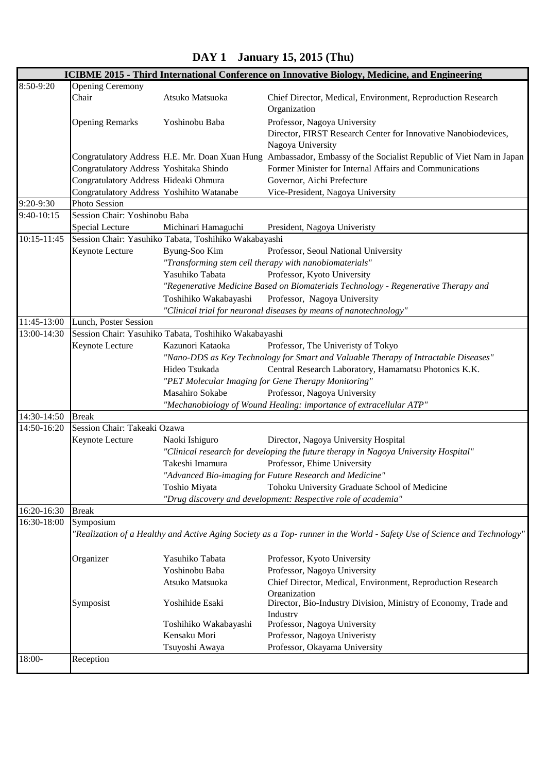|             |                                                                                                                          |                                                       | <b>ICIBME 2015 - Third International Conference on Innovative Biology, Medicine, and Engineering</b>                                                                                                       |  |
|-------------|--------------------------------------------------------------------------------------------------------------------------|-------------------------------------------------------|------------------------------------------------------------------------------------------------------------------------------------------------------------------------------------------------------------|--|
| 8:50-9:20   | <b>Opening Ceremony</b>                                                                                                  |                                                       |                                                                                                                                                                                                            |  |
|             | Chair                                                                                                                    | Atsuko Matsuoka                                       | Chief Director, Medical, Environment, Reproduction Research<br>Organization                                                                                                                                |  |
|             | <b>Opening Remarks</b>                                                                                                   | Yoshinobu Baba                                        | Professor, Nagoya University<br>Director, FIRST Research Center for Innovative Nanobiodevices,<br>Nagoya University                                                                                        |  |
|             | Congratulatory Address Yoshitaka Shindo<br>Congratulatory Address Hideaki Ohmura                                         |                                                       | Congratulatory Address H.E. Mr. Doan Xuan Hung Ambassador, Embassy of the Socialist Republic of Viet Nam in Japan<br>Former Minister for Internal Affairs and Communications<br>Governor, Aichi Prefecture |  |
|             | Congratulatory Address Yoshihito Watanabe                                                                                |                                                       | Vice-President, Nagoya University                                                                                                                                                                          |  |
| 9:20-9:30   | <b>Photo Session</b>                                                                                                     |                                                       |                                                                                                                                                                                                            |  |
| 9:40-10:15  | Session Chair: Yoshinobu Baba                                                                                            |                                                       |                                                                                                                                                                                                            |  |
|             | Special Lecture                                                                                                          | Michinari Hamaguchi                                   | President, Nagoya Univeristy                                                                                                                                                                               |  |
| 10:15-11:45 |                                                                                                                          | Session Chair: Yasuhiko Tabata, Toshihiko Wakabayashi |                                                                                                                                                                                                            |  |
|             | Keynote Lecture                                                                                                          | Byung-Soo Kim                                         | Professor, Seoul National University                                                                                                                                                                       |  |
|             |                                                                                                                          |                                                       | "Transforming stem cell therapy with nanobiomaterials"                                                                                                                                                     |  |
|             |                                                                                                                          | Yasuhiko Tabata                                       | Professor, Kyoto University                                                                                                                                                                                |  |
|             |                                                                                                                          |                                                       | "Regenerative Medicine Based on Biomaterials Technology - Regenerative Therapy and                                                                                                                         |  |
|             |                                                                                                                          | Toshihiko Wakabayashi                                 | Professor, Nagoya University                                                                                                                                                                               |  |
|             |                                                                                                                          |                                                       | "Clinical trial for neuronal diseases by means of nanotechnology"                                                                                                                                          |  |
| 11:45-13:00 | Lunch, Poster Session                                                                                                    |                                                       |                                                                                                                                                                                                            |  |
| 13:00-14:30 |                                                                                                                          | Session Chair: Yasuhiko Tabata, Toshihiko Wakabayashi |                                                                                                                                                                                                            |  |
|             | Keynote Lecture                                                                                                          | Kazunori Kataoka                                      | Professor, The Univeristy of Tokyo<br>"Nano-DDS as Key Technology for Smart and Valuable Therapy of Intractable Diseases"                                                                                  |  |
|             |                                                                                                                          | Hideo Tsukada                                         | Central Research Laboratory, Hamamatsu Photonics K.K.                                                                                                                                                      |  |
|             |                                                                                                                          |                                                       | "PET Molecular Imaging for Gene Therapy Monitoring"                                                                                                                                                        |  |
|             |                                                                                                                          | Masahiro Sokabe                                       | Professor, Nagoya University                                                                                                                                                                               |  |
|             |                                                                                                                          |                                                       | "Mechanobiology of Wound Healing: importance of extracellular ATP"                                                                                                                                         |  |
| 14:30-14:50 | <b>Break</b><br>Session Chair: Takeaki Ozawa                                                                             |                                                       |                                                                                                                                                                                                            |  |
| 14:50-16:20 |                                                                                                                          |                                                       |                                                                                                                                                                                                            |  |
|             | Keynote Lecture                                                                                                          | Naoki Ishiguro                                        | Director, Nagoya University Hospital                                                                                                                                                                       |  |
|             |                                                                                                                          |                                                       | "Clinical research for developing the future therapy in Nagoya University Hospital"                                                                                                                        |  |
|             |                                                                                                                          | Takeshi Imamura                                       | Professor, Ehime University                                                                                                                                                                                |  |
|             |                                                                                                                          |                                                       | "Advanced Bio-imaging for Future Research and Medicine"                                                                                                                                                    |  |
|             |                                                                                                                          | Toshio Miyata                                         | Tohoku University Graduate School of Medicine                                                                                                                                                              |  |
| 16:20-16:30 | <b>Break</b>                                                                                                             |                                                       | "Drug discovery and development: Respective role of academia"                                                                                                                                              |  |
| 16:30-18:00 | Symposium                                                                                                                |                                                       |                                                                                                                                                                                                            |  |
|             | "Realization of a Healthy and Active Aging Society as a Top- runner in the World - Safety Use of Science and Technology" |                                                       |                                                                                                                                                                                                            |  |
|             | Organizer                                                                                                                | Yasuhiko Tabata                                       | Professor, Kyoto University                                                                                                                                                                                |  |
|             |                                                                                                                          | Yoshinobu Baba                                        | Professor, Nagoya University                                                                                                                                                                               |  |
|             |                                                                                                                          | Atsuko Matsuoka                                       | Chief Director, Medical, Environment, Reproduction Research                                                                                                                                                |  |
|             | Symposist                                                                                                                | Yoshihide Esaki                                       | Organization<br>Director, Bio-Industry Division, Ministry of Economy, Trade and<br>Industry                                                                                                                |  |
|             |                                                                                                                          | Toshihiko Wakabayashi                                 | Professor, Nagoya University                                                                                                                                                                               |  |
|             |                                                                                                                          | Kensaku Mori                                          | Professor, Nagoya Univeristy                                                                                                                                                                               |  |
|             |                                                                                                                          | Tsuyoshi Awaya                                        | Professor, Okayama University                                                                                                                                                                              |  |
| 18:00-      | Reception                                                                                                                |                                                       |                                                                                                                                                                                                            |  |
|             |                                                                                                                          |                                                       |                                                                                                                                                                                                            |  |

## **DAY 1 January 15, 2015 (Thu)**